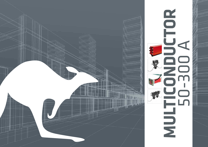

![](_page_0_Picture_1.jpeg)

![](_page_0_Picture_2.jpeg)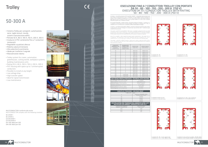- Sistema Trolley per carroponti, automazione, serre, taglio tessuti, tessile, sistemi manutenzione edifici
- Portate 50 A, 80 A, 100 A, 150 A, 200 A, 300 A
- Involucro in PVC contenente fino a 7 conduttori ininterrotti
- Regolabile a qualsiasi altezza
- Ridotta caduta di tensione
- Alta velocità di scorrimento
- Ideale per trasferire il segnale
- Manutenzione ridotta
- Trolley system for cranes, automation, greenhouses, cutting textile, workplace systems, building maintenance units
- Rating 50 A, 80 A, 100 A, 150 A, 200 A, 300 A
- PVC housing with space up to 7 uninterrupted conductors
- Possible to install at any height
- Low voltage drop
- High transfer speed
- Ideal for signal transmission
- Low maintenance

![](_page_1_Picture_18.jpeg)

 $\epsilon$ 

![](_page_1_Picture_19.jpeg)

![](_page_1_Picture_20.jpeg)

Il sistema - con profilo portante in PVC tipo RN7 o RNHS7 - è disponibile nelle portate da 50 fino a 300 A in esecuzione da 2 fino a 7 conduttori. Le linee vengono fornite in elementi di<br>profilo in PVC di lunghezza standard di 4 m, ed in tanti rotoli di nastro rame (della lunghezza<br>della linea fino ad un massimo di

Pur essendo disponibile - quando richiesto da speciali esigenze di impianto - il sistema a 2 o<br>3 conduttori, le esecuzioni di più ricorrente impiego sono quelle a 4 conduttori (3F + PE), a 5<br>conduttori (3F + N + PE) ed a

# **Trolley**

# 50-300 A

![](_page_1_Picture_21.jpeg)

![](_page_1_Picture_22.jpeg)

#### ESECUZIONE FINO A 7 CONDUTTORI TROLLEY CON PORTATE DA 50 - 80 - 100 - 150 - 200 - 300 A (750 V) EXECUTION UP TO 7 CONDUCTOR TROLLEY WITH RAITING 50 - 80 - 100 - 150 - 200 - 300 A (750 V)

Il sistema - con profilo portante RN7 o RNHS7- consente di realizzare portate da 200 a 300 A in esecuzione 3F + PE con l'impiego di 2 conduttori per ciascuna fase e del 7° conduttore quale conduttore di protezione.

The system - with PVC housing RNHS7 or RN 7 type- is available in rating from 50 A up to 300<br>A in execution from 2 up to 7 conductors . The lines are provided with PVC housing in standard<br>length of 4 m, and in many rolls o

Even if it is available - when required by special system requirements - the system of 2 or<br>3 conductors , the executions of the most frequently used are 4-conductors (3P + PE), 5<br>conductors (3P + N + PE ) and 6 and 7 cond

![](_page_1_Picture_40.jpeg)

5 conduttori in linee con curve onductors in lines with curves

![](_page_1_Picture_42.jpeg)

The system - with RN 7 or RNHS7 housing - allows you to create a range from 200 to 300 A in 3P + PE execution with the use of two conductors for each phase and the 7th conductor which protective conductor.

| CORRENTE<br>NOMINALE [A]<br>NOMINAL<br>CURRENT [A] | NUMERO DEI<br>CONDUTTORI<br>NUMBER OF<br>CONDUCTORS           | CODICE RN7<br>CODE RN7 | <b>CODICE RNHS7</b><br>CODE RNHS7 |  |  |  |
|----------------------------------------------------|---------------------------------------------------------------|------------------------|-----------------------------------|--|--|--|
| 50                                                 | 4                                                             | RN7-4-50               | RNHS7-4-50                        |  |  |  |
| 50                                                 | 5                                                             | RN7-5-50               | <b>RNHS7-5-50</b>                 |  |  |  |
| 50                                                 | 6                                                             | RN7-6-50               | RNHS7-6-50                        |  |  |  |
| 50                                                 | $\overline{7}$                                                | RN7-7-50               | RNH57-7-50                        |  |  |  |
| 80                                                 | 4                                                             | RN7-4-80               | RNH57-4-80                        |  |  |  |
| 80                                                 | 5                                                             | RN7-5-80               | RNH57-5-80                        |  |  |  |
| 80                                                 | 6                                                             | RN7-6-80               | RNHS7-6-80                        |  |  |  |
| 80                                                 | 7                                                             | RN7-7-80               | <b>RNHS7-7-80</b>                 |  |  |  |
| 100                                                | 4                                                             | RN7-4-100              | RNHS7-4-100                       |  |  |  |
| 100                                                | 5                                                             | RN7-5-100              | RNHS7-5-100                       |  |  |  |
| 100                                                | ĥ                                                             | RN7-6-100              | RNHS7-6-100                       |  |  |  |
| 100                                                | 7                                                             | RN7-7-100              | RNH57-7-100                       |  |  |  |
| 150                                                | 4                                                             | RN7-4-150              | RNHS7-4-150                       |  |  |  |
| 150                                                | 5                                                             | RN7-5-150              | RNHS7-5-150                       |  |  |  |
| 150                                                | 6                                                             | RN7-6-150              | RNHS7-6-150                       |  |  |  |
| 150                                                | 7                                                             | RN7-7-150              | RNHS7-7-150                       |  |  |  |
| $200 -$                                            | 7 (2X3F+1PE)                                                  | RN7-4-200              | RNHS7-4-200                       |  |  |  |
| 300                                                | 7 (2x3F+1PE)                                                  | RN7-4-300              | RNHS7-4-300                       |  |  |  |
| Urto all'intaglio . Notch shock strenght           | <b>DATI TECNICI PROFILO PORTANTE . TECHNICAL DATA HOUSING</b> |                        | $5 - 10$ kj/m <sup>2</sup>        |  |  |  |
| Modulo olacticità e Elacticity modulo              |                                                               |                        | 2500/JODD N /mm2                  |  |  |  |

| OF LO GIT IT LOCKED TINO LETTER IT STILL STEEL IT CITED IT. | $J = 10 N / 111$                            |
|-------------------------------------------------------------|---------------------------------------------|
| Modulo elasticità . Elasticity module                       | 2500/3000 N/mm <sup>2</sup>                 |
| Dilatazione lineare • Linear expansion                      | 70 • 10 $\cdot$ <sup>6</sup> m/m/ $\cdot$ C |
| Resistenza volumetrica • Volumetric resistance              | $>4$ • 10 <sup>15</sup> Ω/cm                |
| Rigidità dielettrica · Dielectric rigidity                  | >30 kv/mm                                   |
| Autoestinguenza · Self-extinguishing                        | $UI$ 94 $V0$                                |
|                                                             |                                             |

| <b>CADUTA DI TENSIONE . VOLTAGE DROP</b>                                                             |                                                       |            |
|------------------------------------------------------------------------------------------------------|-------------------------------------------------------|------------|
| T. AMB.: $20^{\circ}$ C - Cos $\varphi$ =1                                                           |                                                       |            |
| $\overline{A}$                                                                                       | CADUTA DI TENSIONE V/M/A<br><b>VOLTAGE DROP V/M/A</b> |            |
| 50                                                                                                   | 0.00339                                               |            |
| 80                                                                                                   | 0.00217                                               | 5 c<br>5 c |
| 100                                                                                                  | 0.00119                                               |            |
| 150                                                                                                  | 0.00092                                               |            |
| MOLTIPLICATORI PER TEMPERATURA AMBIENTE OLTRE I 20°C<br>MULTIPLIER FOR AMBIENT TEMPERATURE OVER 20°C |                                                       |            |
| TEMPERATURA AMBIENTE<br>AMBIENT TEMPERATURE                                                          | MOLTIPLICATORE<br>MULTIPLIER                          |            |
| 35°C                                                                                                 | 1.079                                                 |            |
| $45^{\circ}$ r                                                                                       | 1.118                                                 |            |

55°C 1,157

![](_page_1_Picture_35.jpeg)

![](_page_1_Picture_36.jpeg)

![](_page_1_Picture_37.jpeg)

7 conduttori 3F + PE + 3 cond. segnali o dati 7 conductors 3P + PE + 3 cond. signals or data

7 conduttori 2 cond. per fase in parallelo + PE 200 e 300 A 7 conductors 2 cond. for phase in parallel + PE 200 and 300 A

![](_page_1_Picture_49.jpeg)

4 conduttori 3F + PE 4 conductors 3F + PE 5 conduttori 3F + N + PE 5 conductors 3F + N + PE

6 conduttori 3F + N + PE + cond. controllo (c) 6 conductors 3P + N + PE control cond. (c)

![](_page_1_Picture_46.jpeg)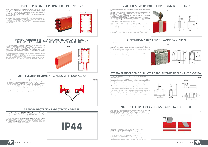### PROFILO PORTANTE TIPO RN7 • HOUSING TYPE RN7

## COPRIFESSURA IN GOMMA • SEALING STRIP (COD. AS7-C)

#### GRADO DI PROTEZIONE • PROTECTION DEGREE

#### PROFILO PORTANTE TIPO RNHS7 CON PROLUNGA "SALVADITO" HOUSING TYPE RNHS7 WITH EXTENSION "FINGER GUARD"

Il profilo è inoltre provvisto di un inserto giallo continuo, per semplificare il montaggio, che garantisce l'esatto posizionamento delle singole guaine.<br>Per applicazioni con altre temperature ambientali (-20° + 80°C) è previsto il profilo RNV7<br>(di colore grigio chiaro).

Guaine in PVC autoestinguente stabilizzato che raggiunge temperature d'esercizio da -30° a +60° C dotato di un particolare che impedisce l'introduzione del carrello in modo errato (A).

Sheats in self-extinguishing stabilized PVC that get to temperatures of exercise from -30°<br>to +60°C with a detail that prevents the introduction of the collector trolley incorrectly (A).<br>The housing is also provided with RNV7 (light gray).

È disponibile, per installazioni particolari, un'esecuzione del sistema consistente in un<br>particolare prolungamento del profilo portante in PVC tipo RN7.<br>Tale esecuzione speciale "RNHS7" è realizzata in tutte le portate pr standard. Comporta l'impiego di carrelli con prolungamento, tipo "HS". Profilo e carrelli a parte, per il sistema RNHS7 possono essere utilizzati tutti gli altri accessori di linea (staffe di giunzione e di sospensione, alimentazioni e chiusure di testata) nell'esecuzione standard.

It is available for a particular installation, execution of the system consisting of a particular<br>extension of the housing in PVC type RN 7.<br>This special version "RNHS7" is made in all ratings required for the standard sys

È una doppia striscia in gomma che si inserisce nell'apposita predisposizione del profilo in PVC - in entrambi i bordi inferiori - con funzione di coprifessura elastico, atto a consentire, senza resistenza, lo scorrimento dei carrelli, rendendo la linea protetta sia agli effetti<br>antinfortunistici sia aglieffetti dell'esercizio in ambienti polverosi o umidi.<br>Il coprifessura è raccomandato per tutte le install

![](_page_2_Picture_4.jpeg)

Il sistema a Conduttori Ininterrotti MULTICONDUCTOR® per Alimentazione di Utenze Mobili con profilo in PVC in versione RN7 e RNHS7, portata 50-300 A, con l'aggiunta del coprifessura<br>in gomma (cod. AS7-C), è certificato con numero 88.6537.02-LTI dell'istituto tedesco KEMA<br>**con grado di protezione IP44**, second

The system with **conductors uninterrupted MULTICONDUCTOR® for supply of mobile**<br>**users** with PVC housing in version RN 7 and RNHS7, range 50-300 A, with the addition of<br>the sealing strip (code AS7-C), is certificate with n IFF SHAM WITH IP44 protection degree, according to European IEC 529, second edition of 1989.<br>The protection degree is IP23 without this accessory.

the line (joint clamp and sliding hanger, feeds and end caps boxes) in standard execution.

![](_page_2_Figure_10.jpeg)

It is a double rubber strip that fits into the special predisposition of the PVC profile - in both lower edges - with function of elastic sealing, that permits, without resistance, with the slide of collector trolley, protecting the line both from the effects accident prevention and from the

exercise in dusty or humid places.<br>The sealing is recommended for all outdoor installations and for specific industries such as, for<br>example, cement, mining, galvanizing plants, textile production, etc.

![](_page_2_Figure_15.jpeg)

Deve essere applicata in prossimità dell'alimentazione della linea (precisamente a 300 mm<br>dall'imbocco della cassetta di alimentazione di testata). Se trattasi di linea con alimentazione<br>intermedia, i "punti fissi" dovrann a punto fisso è quella, importante anche se a prima vista non rilevabile, di impedire che, a<br>seguito del naturale movimento del profilo in PVC entro le staffe di sospensione dovuto agli<br>effetti della dilatazione, tutta la negative sul suo funzionamento ottimale.

Must be applied in the neighbor of the feeding of the line (specifically a 300 mm from the entrance of the feed box). If the case of line with intermediate feed, the "fixed points" must be two (to the side of the intermediate feed box, at a distance of 300 mm from axis to<br>axis, between them). The function of the fixed point clamp is to prevent moving of the line<br>with negative consequences on functionality

![](_page_2_Figure_38.jpeg)

# The protection degree is IP23 without this accessory. **IP44**

## STAFFE DI SOSPENSIONE • SLIDING HANGER (COD. BN7-•)

#### STAFFA DI ANCORAGGIO A "PUNTO FISSO" • FIXED POINT CLAMP (COD. VMN7-•)

## NASTRO ADESIVO ISOLANTE • INSULATING TAPE (COD. T50)

## STAFFE DI GIUNZIONE • JOINT CLAMP (COD. VN7-•)

Le staffe di sospensione assolvono la funzione di sostenere, senza bloccarlo, il profilo portante in PVC.

È importante che le staffe di sospensione (fornite già dotate di bullone M10, dadi, controdadi

e rondelle) siano assicurate alle mensole esattamente sull'asse ideale della linea. La distanza<br>ottimale consigliata tra le staffe è di:<br>• 1333 mm (3 staffe per ogni elemento da 4 m di profilo), per installazioni con veloc

The sliding hanger support, without locking the PVC housing.

It is important that the sliding hanger (already provided with nuts M10, elastic washer, and<br>bolt), are secured to the brackets exactly on the ideal line. The best distance recommended<br>• 1333 mm (3 fixing hanger is:<br>• 1333

• 1000 mm for installations with transfer speed of the collectors trolley exceeding 120 m /

minute. • 2000 mm (by limiting at 2 the number of brackets for each element by 4 m) for installations of limited rating (max 80 A) and up to a max ambient temperature difference of 40°C.

![](_page_2_Picture_45.jpeg)

Le staffe di giunzione assolvono la funzione di realizzare un solido e sicuro raccordo tra gli elementi in PVC lungo l'intera lunghezza della linea.

Esse sono pertanto dotate di 4 piccoli pieghi su bordi interni inferiori che, aggraffandosi saldamente al PVC, impediscono qualsiasi possibilità di movimento nel punto di contatto del profilo. Sono anch'esse fornite di tutta la bulloneria necessaria al loro fissaggio. The joint clamp has the function of realizing a solid and secure connection between the PVC elements along the entire length of the line.

They are therefore equipped with 4 small bend on the internal lower edges that clamp securely<br>at PVC, prevent any possibility of movement in the housing point of contact. They are also<br>equipped with all necessary bolts for

![](_page_2_Figure_46.jpeg)

Si tratta di una staffa di giunzione dotata di un particolare bullone verticale da fissarsi sull'asse della linea.

It is a joint clamp equipped with a particular vertical bolt to be fixed on the axis of the line.

![](_page_2_Figure_48.jpeg)

Fornito in rotoli da 10 m, di 50 mm di larghezza, è destinato alla nastratura delle estremità di contatto delle guaine, prima della posa e del fissaggio delle staffe di giunzione. Per ogni giunto occorrono 250 mm di nastro. Un rotolo è sufficiente per 35 giunti. Provided in rolls of 10 m and 50 mm of width, is intended for the taping of the ends of contact sheaths, before the placing and fixing of the joint clamp. For each joint takes 250 mm of tape. A roll is sufficient for 35 joints.

Tutte le staffe previste in questa pagina sono disponibili nelle seguenti versioni: \* zincate, per installazioni all'interno (codice finale Z) \* laccate, per installazioni all'esterno o in ambienti corrosivi (codice finale L) \* Acciaio Inox, per installazioni all'esterno o in ambienti corrosivi (codice finale R)

All brackets provided on this page is available in the following versions: \* Galvanized, for indoor installations (final code Z) \* Epoxy for outdoor installation or in corrosive environments (final code L) \* Stainless Steel, for outdoors installations or in corrosive environments (final code R)

![](_page_2_Figure_44.jpeg)

![](_page_2_Figure_49.jpeg)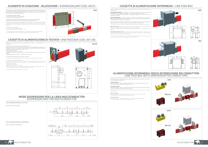## ELEMENTO DI GIUNZIONE - DILATAZIONE • EXPANSION JOINT (COD. KEV7)

Questa staffa di giunzione si impiega nelle installazioni in cui la libera dilatazione della linea non<br>può realizzarsi, ad esempio in lunghe installazioni o con frequenti curve. In tali casi, all'interno di<br>questa staffa,

#### CASSETTA DI ALIMENTAZIONE DI TESTATA • END FEED BOX (COD. AK7-28)

L'impiego di questa staffa richiede: • una staffa a "punto fisso" (VMN7) adiacente • l'utilizzo di carrelli "a doppia ruota" (.../E)

La distanza tra due profili dipende dalla temperatura ambiente in fase di montaggio. Si raccomanda di contattare il nostro ufficio tecnico per le soluzioni del caso.

This joint clamp is used in installations where the free expansion of the line can not be achieved, for example, in long installations or with frequent curves. In such cases, within this clamp, the ends of the two PVC housing can approach and move away from each other, supporting the expansion of the line.

The use of this clamp requires: • a "fixed point" clamp (VMN7) adjacent • the use of collectors trolley "dual wheel" (... / E)

The distance between two housing depends on the ambient temperature during assembly. It is recommended to contact our technical department for appropriate solutions.

Serve per l'alimentazione della linea all'estremità della stessa, ed è disponibile in una esecuzione.

L'alimentazione di testata ha le seguenti caratteristiche:<br>• pressacavo unico per cavi fino a 28 mm di diametro con pressacavo M40 da connettere, con<br>l'impiego di capicorda - ai conduttori forati e ripiegati sulle bocche f

• grado di protezione IP44 • temperatura di esercizio -30° + 80°C • resistente ai vapori di ammoniaca (NH3) e di acido cloridrico (HCL) provenienti dai processi galvanici • autoestinguenza: UL 94 V0/V1.La cassetta include 7 viti M6.

Per il profilo RNHS7 ordinare i codici AK7-28 + 1007550.

It is used for the feed of the line at the end of the same, and is available in a execution.

The feed box has the following features:<br>• cable gland for cables up to 28 mm in diameter with cable gland M40 to connect with the<br>use of lug – to pierces and folded up conductors, on the flange with sleeve inserted on the • IP44 degree of protection

• Operating temperature -30° to + 80°C<br>• resistant to vapors of ammonia (NH3) and hydrochloric acid (HCL) from galvanic processes<br>• self-extinguishing: UL 94 V0/V1. The box includes 7 screws M6.

This type of intermediate feed (current use) involves the composition of the line into two pe or memnealate recal (can ene ase) invoices the central methods.

To the RNHS7 profile order codes AK7-28 + 1007550.

![](_page_3_Picture_22.jpeg)

![](_page_3_Picture_23.jpeg)

들

195

![](_page_3_Figure_24.jpeg)

AK7-28

## CASSETTA DI ALIMENTAZIONE INTERMEDIA • LINE FEED BOX

#### ALIMENTAZIONE INTERMEDIA SENZA INTERRUZIONE DEI CONDUTTORI LINE FEED BOX WITH UNINTERRUPTED CONDUCTORS

Serve per l'alimentazione della linea in un punto qualsiasi lungo la stessa ed è disponibile in due esecuzioni:

CON PRESSACAVO UNICO (cod. LB40) per cavi fino a 28 mm di diametro con pressacavo M40 da connettersi - con l'impiego di capicorda - ai conduttori ripiegati verso l'esterno. A richiesta è disponibile un'alimentazione con pressacavo M63 per cavi fino a 44,5 mm di diametro (cod. LB63).

CON PIÙ PRESSACAVI (cat. LB32-4 o LB32-7) per cavi da 21 mm di diametro. Le dimensioni sono identiche a quelle della cassetta LB40. La cassetta è composta da 2 flange laterali con manicotti di innesto, dotate di 4 o 7 pressacavi.

![](_page_3_Picture_8.jpeg)

Questo tipo di alimentazione intermedia (di corrente impiego) comporta la composizione della linea in due tronchi, con interruzione dei conduttori nel punto di alimentazione. It is used for the feed of the line at any point along the same and is available in two versions:

![](_page_3_Picture_54.jpeg)

ONE CABLE GLAND (code LB40) for cables up to 28 mm in diameter with cable gland M40 to connect - with the use of lug – to the conductors folded up outward. On request is available a feed with M63 cable gland for cables up to 44.5 mm diameter (code

**WITH MORE CABLES GLAND** (Cat. LB32-4 or LB32-7) for cables from 21 mm in diameter. The<br>dimensions are identical to those of the box LB40. The box is composed of 2 lateral flanges<br>with inserted sleeves, with 4 or 7 cables

LB63).

**Linee fino a 100 A**<br>Usare Alimentazione LB40 + particolare plastica RN7-LCH + morsetti LC80 (uno per polo).<br>I morsetti LC80 sono tipo M6 e sostituiscono i VKK.

È possibile realizzare l'alimentazione intermedia senza interruzione dei conduttori utilizzando una delle seguenti configurazioni.

#### Linee da 150 a 300 A

Usare Alimentazione LB32-4 + particolare plastica RN7-LCH + morsetti LC200 (uno per polo). I morsetti LC200 sono tipo M8 e sostituiscono i VKG. You can achieve the line feed box with uninterrupted conductors using one of the following

#### configurations.

Lines up to 100 A Using line feed LK28 + particular plastic RN 7-LCH + terminals LC80 (one per pole). The LC80 terminals isolflex are M6 and replace the VKK.

**Lines 150 to 300 A**<br>Use line feed LK21-4 + special plastic RN 7-LCH + terminals LC200 (one per pole).<br>The LC200 terminals isolflex are M8 and replace the VKG.

![](_page_3_Picture_55.jpeg)

![](_page_3_Picture_49.jpeg)

![](_page_3_Picture_50.jpeg)

![](_page_3_Picture_51.jpeg)

#### CON ALIMENTAZIONE DI TESTATA

#### WITH END FEED BOX

#### MODO SOSPENSIONE PER LA LINEA MULTICONDUCTOR SUSPENSION WAY FOR MULTICONDUCTOR

 $-85 -1525$ 

CON ALIMENTAZIONE INTERMEDIA

WITH CENTER FEED BOX

![](_page_3_Picture_30.jpeg)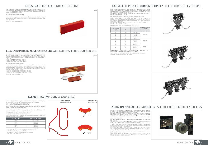## CARRELLI DI PRESA DI CORRENTE TIPO C7 • COLLECTOR TROLLEY C7 TYPE

## ESECUZIONI SPECIALI PER CARRELLI C7 • SPECIAL EXECUTIONS FOR C7 TROLLEYS

Per velocità di scorrimento maggiori di 100 m/minuto e fino a 250 m/minuto, per condizioni<br>di esercizio gravose o per ambienti polverosi è previsto l'impiego di carrelli con ruote con<br>cuscinetti a sfera in acciaio (anzichè

Per impianti con inseriti elementi di giunzione/dilatazione, (KEV7) al fine di assicurare il<br>regolare scorrimento dei carrelli anche in presenza di scostamenti dei profili per effetto di<br>dilatazione, è previsto l'impiego d

Perfettamente intercambiabili con i carrelli di tipo "S7" e i precedenti N7, sono prodotti con una più rigida e compatta struttura. La connessione con l'utenza da alimentare è<br>realizzata mediante l'impiego di una scatola portamorsettiera da applicarsi alla forcella<br>(cod. BMV), cui vaconnesso ilcavo di alimentazi Se si desidera il carrello con 1 metro di cavo premontato aggiungere al codice la lettera "L". Esempio: C7 - 4 - 35 diventa CL7 - 4 - 35.

Per i profili RNHS7 utilizzare i carrelli NLHS7 (realizzati sempre con 1 mt di cavo).

Perfectly interchangeable with the collector trolley type "S7" and the previous N7, are<br>produced with a more rigid and compact structure. The connection with the user from feed is<br>accomplished by the use of a trolley trans which connect feeding cable.<br>If you want the trolley with 1 meter of pre-assembled cable add to the code the letter "L".<br>Example: C7 - 4-35 becomes CL7 - 4-35.

For RNHS7 profiles use NLHS7 trolley (always made with 1 m cable).

| NUMERO DEI POLI<br><b>NUMBER</b><br>OF THE POLE | [A] | CODICE<br>CODE | PORTAMORSETTIERA<br><b>DA ABBINARSI</b><br><b>ITROLLEY TRANSITION</b><br>TO BE MATCHED |
|-------------------------------------------------|-----|----------------|----------------------------------------------------------------------------------------|
| $\overline{4}$                                  | 35  | $C7 - 4 - 35$  |                                                                                        |
| 5                                               | 35  | $C7 - 5 - 35$  | <b>TTB35-7</b>                                                                         |
| 6                                               | 35  | $C7 - 6 - 35$  |                                                                                        |
| 7                                               | 35  | $C7 - 7 - 35$  |                                                                                        |
| $\overline{4}$                                  | 70  | $C7 - 4 - 70$  |                                                                                        |
| 5                                               | 70  | $C7 - 5 - 70$  | <b>TTB70-7</b>                                                                         |
| 6                                               | 70  | $[7 - 6 - 70]$ |                                                                                        |
| 7                                               | 70  | $C7 - 7 - 70$  |                                                                                        |
| $\overline{4}$                                  | 100 | $C7 - 4 - 100$ |                                                                                        |
| 5                                               | 100 | $C7 - 5 - 100$ | TTB100-7                                                                               |
| 6                                               | 100 | $C7 - 6 - 100$ |                                                                                        |
| $\overline{7}$                                  | 100 | $C7 - 7 - 100$ |                                                                                        |

#### NB: per le linee 3F+PE i carrelli a 7 poli 35 - 70 - 100 A raddoppiano la loro portata e sono rispettivamente utilizzabili per assorbimento di 70 - 140 - 200 A.

NB: for the lines 3P + PE trolley by 7 poles 35-70 – 100 A double their range and are respectively used for absorption of 70-140 - 200 A.

Serve per la protezione delle estremità dei conduttori sporgenti dall'ultimo elemento di profilo<br>portante della linea. La si inserisce sui conduttori sporgenti (ridotti a ca. 2 cm ed arrotondati)<br>e la si unisce con una sta Non ha l'inserto giallo anti inversione.

It is used to protect the conductors ends protruding from the last element of the housing<br>line. You put it on the protrudine conductors (reduced to approx. 2 cm and rounded) and joins<br>with a joint clamp at the last element insert anti reversal.

> Per impianti di zincatura è da usarsi il carrello CL7-.../V con parti metalliche in acciaio inox (A2) e velocità fino a 100 m/min. Per i carrelli da usarsi con l'imbuto di trasferimento (cod.ITN) la lunghezza del cavo è di 2 m (cod. CLTG7-...).

> Altre possibili esecuzioni speciali (ruote WZ), in funzione delle particolari condizioni di esercizio

a volta a volta valutabili, saranno considerate in sede di offerta specifica.

To speed of sliding greater than 100 m/minute and up to 250 m/minute, for hard operating<br>conditions or for dusty environments is provided the use of trolleys with wheels with steel ball<br>bearings (instead of teflon): WS-whe

For systems with inserted expansion joints, (KEV7) in order to ensure the sliding of trolleys<br>even in the presence of deviations of the housings for the effect of expansion, is provided the<br>operation of trolleys with centr

For galvanizing systems is to be used the CL7-.../V trolley with metal parts in stainless steel<br>(A2) and speeds up to 100 m / min.<br>For trolleys to be used with the transfer guide (cod.ITN) the cable length is 2 m (code-CLT

Le linee MULTICONDUCTOR possono essere fornite anche in elementi curvi orizzontali o verticali, concavi o convessi di raggio a richiesta. Per la fornitura di linee circolari, o comunque<br>con curve, è sempre necessario un disegno dettagliato e quotato dell'impianto.<br>Le curve orizzontali hanno un raggio minim

Other possible special versions (wheels WZ), depending on the particular conditions of exercise, will be considered in the specific offer.

![](_page_4_Picture_45.jpeg)

![](_page_4_Picture_46.jpeg)

![](_page_4_Picture_47.jpeg)

![](_page_4_Picture_48.jpeg)

![](_page_4_Picture_49.jpeg)

![](_page_4_Picture_51.jpeg)

#### CHIUSURA DI TESTATA • END CAP (COD. EN7)

#### ELEMENTO INTRODUZIONE/ESTRAZIONE CARRELLI • INSPECTION UNIT (COD. UN7)

Nelle linee con più carrelli inseriti - ove risulti disagevole rimuovere per la manutenzione<br>carrelli già inseriti o introdurne di nuovi dal fondo linea - è opportuna l'applicazione di una<br>unità introduzione/estrazione car 3 esecuzion

#### Per il profilo RNHS utilizzare il tipo ENHS7.

To the RNHS profile use the type ENHS7.

![](_page_4_Picture_5.jpeg)

• UN7/35: per carrelli da 35 A (lungh. 200 mm); • UN7/70: per carrelli da 70 A (lungh. 350 mm); • UN7/100: per carrelli da 100 A (lungh. 500 mm).

#### Per il profilo RNHS utilizzare il tipo UNHS7.

In lines with more collectors trolley entered – where it appears unconfortable to remove for<br>maintenance collectors trolley already entered, or introduce new ones from the bottom line - it<br>is appropriate to apply a units o half-elements of removable sheath, to be fixed to the adjacent housing elements with 2 joint clamp VN7. They are available in 3 versions:<br>• UN7/35: for collectors trolley from 35 A (length 200 mm);<br>• UN7/70: for collectors trolley from 70 A (length 350 mm);<br>• UN7/100: for collectors trolley from 100 A (length 500

To the RNHS profile use the UNHS7 type.

## UN7

## ELEMENTI CURVI • CURVES (COD. BRN7)

Nelle curve orizzontali il conduttore superiore deve essere fornito pre-curvato se il raggio della curva è minore di quanto nella seguente tabella:

The MULTICONDUCTOR lines can also be provided in horizontal or vertical curve, concave or<br>convex of radius on request. For the providing of circular lines, or otherwise with curves, you<br>always need a detailed drawing with

On horizontal curves the upper conductor must be provided pre-curved if the radius of the curve is lower than in the following table:

| $LINEA \cdot LINE$ | $RAGGIO \cdot RADIUS$ |
|--------------------|-----------------------|
| 50 A               | non necessario        |
| 80 A               | 2000 mm               |
| 100A               | 2500 mm               |
| 150 A              | 3000 mm               |
| 200 A              | 2500 mm               |
| 300 A              | 3000 mm               |

- Per i conduttori laterali nelle curve verticali utilizzare la stessa tabella - Per il profilo RNHS7 utilizzare le curve BRNHS7

- For the lateral conductors in vertical curves use the same table

- To RNHS7 the profile use BRNHS7 curves

![](_page_4_Figure_24.jpeg)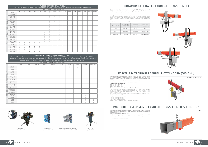|                        |                |                |                |                |                |                |                |                | RUOTE DI RICAMBIO . SPARE WHEELS |                |                | Le cifre si riferiscono al numero di ruote necessarie per ogni carrello · The figures refer to the number of wheels required for each trolley. |                |                |                |                |                |
|------------------------|----------------|----------------|----------------|----------------|----------------|----------------|----------------|----------------|----------------------------------|----------------|----------------|------------------------------------------------------------------------------------------------------------------------------------------------|----------------|----------------|----------------|----------------|----------------|
|                        |                |                |                |                |                |                |                |                | TIPO DI RUOTE . TYPE OF WHEELS   |                |                |                                                                                                                                                |                |                |                |                |                |
|                        |                | <b>WE</b>      | W              | <b>WS</b>      | WZ             | WSZ            | <b>SLR</b>     | KL             | KL80                             | <b>SL</b>      | TSL            | AK075                                                                                                                                          | <b>TW</b>      | <b>DWSL</b>    | <b>DW</b>      | NL (TOP)       | NL (CONTROL)   |
|                        | $S5-$ *-35     |                |                |                |                |                |                | $\overline{2}$ |                                  | 2              |                |                                                                                                                                                |                |                |                |                |                |
|                        | $55 - -80$     |                |                |                |                |                |                | $\overline{2}$ | $\overline{1}$                   | $\overline{2}$ | $\mathbf{1}$   |                                                                                                                                                | $\overline{2}$ |                |                |                |                |
|                        | $S5-$ *-125    |                |                |                |                |                |                | $\overline{2}$ | $\overline{2}$                   | $\overline{2}$ | $\mathsf{Z}$   |                                                                                                                                                | 3              |                |                |                |                |
|                        | $SK5 - * -35$  |                |                |                |                |                |                | $\overline{2}$ |                                  | $\overline{2}$ |                |                                                                                                                                                |                |                |                |                |                |
| $\mathbb{E}\mathbb{Y}$ | $SK5 - * - 80$ |                |                |                |                |                |                | $\overline{2}$ | $\overline{1}$                   | $\overline{2}$ | $\mathbf{1}$   |                                                                                                                                                | $\overline{2}$ |                |                |                |                |
|                        | $SK5-$ *-125   |                |                |                |                |                |                | $\overline{2}$ | $\overline{2}$                   | $\overline{2}$ | $\overline{2}$ |                                                                                                                                                | 3              |                |                |                |                |
| TROLLI                 | $57-$ *-35     |                |                |                |                |                |                | $\overline{2}$ |                                  | $\overline{2}$ |                | $\mathbf{1}$                                                                                                                                   | $\overline{1}$ |                |                |                |                |
| $\sqcup$               | $57 - * -70$   |                |                |                |                |                |                | $\overline{4}$ |                                  | $\overline{4}$ |                | $\mathbf{1}$                                                                                                                                   | $\overline{2}$ |                |                |                |                |
| $\bigcirc$             | $S7-$ *-100    |                |                |                |                |                |                | 6              |                                  | 6              |                | $\overline{1}$                                                                                                                                 | 3              |                |                |                |                |
| TYPE                   | $SK7-*-35$     |                |                |                |                |                |                | $\overline{2}$ |                                  | $\overline{2}$ |                |                                                                                                                                                |                |                |                |                |                |
|                        | $SK7-*-70$     |                |                |                |                |                |                | $\overline{4}$ |                                  | $\overline{4}$ |                | 1                                                                                                                                              | $\overline{2}$ |                |                |                |                |
| $\bullet$              | $SK7-*-100$    |                |                |                |                |                |                | 6              |                                  | 6              |                | $\overline{1}$                                                                                                                                 | $\overline{3}$ |                |                |                |                |
| <b>RRELLO</b>          | NL7-*-35       |                |                |                |                |                | 2              | $\overline{2}$ |                                  | $\overline{2}$ |                |                                                                                                                                                |                | $\mathbf{1}$   | 1              | $\mathbf{1}$   | $\overline{2}$ |
|                        | NL7-*-70       |                |                |                |                |                | $\overline{4}$ | $\overline{4}$ |                                  | $\overline{4}$ |                |                                                                                                                                                |                | 2              | $\overline{2}$ | 2              | $\overline{4}$ |
|                        | NL7-*-100      |                |                |                |                |                | 6              | 6              |                                  | 6              |                |                                                                                                                                                |                | 3              | 3              | 3              | 6              |
| $\prec$<br>ت           | NLHS7-*-35     |                |                |                |                |                | $\overline{2}$ | $\overline{2}$ |                                  | $\overline{2}$ |                |                                                                                                                                                |                | $\mathbf{1}$   | $\mathbf{1}$   | $\mathbf{1}$   | $\overline{2}$ |
| $\overline{\square}$   | NLHS7-*-70     |                |                |                |                |                | $\overline{4}$ | $\overline{4}$ |                                  | $\overline{4}$ |                |                                                                                                                                                |                | $\overline{2}$ | $\overline{2}$ | $\overline{2}$ | $\overline{4}$ |
|                        | NLHS7-*-100    |                |                |                |                |                | 6              | 6              |                                  | 6              |                |                                                                                                                                                |                | 3              | 3              | 3              | 6              |
| Ddil                   | $C7-*-35$      | 1              | $\overline{2}$ | $\overline{2}$ | $\overline{2}$ | $\overline{2}$ |                |                |                                  |                |                |                                                                                                                                                |                |                |                |                |                |
|                        | $C7-*-70$      | $\overline{2}$ | 3              | $\overline{2}$ | $\overline{2}$ | $\overline{2}$ |                |                |                                  |                |                |                                                                                                                                                |                |                |                |                |                |
|                        | $C7-$ *-100    | $\mathbf{1}$   | $\overline{4}$ | $\overline{2}$ | $\overline{2}$ | $\overline{2}$ |                |                |                                  |                |                |                                                                                                                                                |                |                |                |                |                |
|                        | $CL7-*-35$     | 1              | $\overline{2}$ | $\overline{2}$ | $\overline{2}$ | $\overline{2}$ |                |                |                                  |                |                |                                                                                                                                                |                |                |                |                |                |
|                        | $CL7-*-70$     | $\overline{2}$ | 3              | $\overline{2}$ | $\overline{2}$ | $\overline{2}$ |                |                |                                  |                |                |                                                                                                                                                |                |                |                |                |                |
|                        | $CL7-*-100$    | $\mathbf{1}$   | 4              | $\overline{2}$ | $\overline{2}$ | $\overline{2}$ |                |                |                                  |                |                |                                                                                                                                                |                |                |                |                |                |

Le cifre della tabella si riferiscono al numero di spazzole necessarie per ogni articolo. Per i carrelli da 70 A il numero di spazzole è doppio, per quelli da 100 A è triplo. The figures in the table refer to the number of brushes needed for each item. For trolleys from 70 A the number of brushes is double, for those from 100-A is triple. Esempio: 1 pz C7-4-35 contiene 3 pz K91-P e 1 pz C91-A. • Example: 1 pcs C7-4-35 contains 3 pcs K91-P and 1 pc C91-A.

#### SPAZZOLE DI RICAMBIO • SPARE CARBON BRUSHES

|                        | TIPO DI SPAZZOLE . TYPE OF BRUSHES |                |       |                |               |                |              |              |              |              |                |
|------------------------|------------------------------------|----------------|-------|----------------|---------------|----------------|--------------|--------------|--------------|--------------|----------------|
|                        |                                    | K91-P          | K91-A | B91-SP         | <b>B91-SA</b> | <b>B91-SN</b>  | <b>B91-P</b> | <b>B91-A</b> | <b>B91-N</b> | $C91-A$ (PE) | C91-D (twin)   |
|                        | $S5 - 4 - 35$                      |                |       |                |               |                | 3            |              |              |              |                |
|                        | $S5 - 5 - 35$                      |                |       |                |               |                | 3            | 11           | $\mathbf{1}$ |              |                |
|                        | $S7 - 4 - 35$                      |                |       | 3              | и             |                |              |              |              |              |                |
| $\mathbb{E}\mathbb{Y}$ | $S7 - 5 - 35$                      |                |       | $\overline{3}$ |               | $\mathbf{1}$   |              |              |              |              |                |
|                        | $S7 - 6 - 35$                      |                |       | 5              |               |                |              |              |              |              |                |
|                        | $S7 - 7 - 35$                      |                |       | 5              |               | $\overline{1}$ |              |              |              |              |                |
| TROLLE                 | SK7-4-35                           |                |       | 3              |               |                |              |              |              |              |                |
| $\frac{\mu}{\Box}$     | SK7-5-35                           |                |       | 3              |               | $\overline{1}$ |              |              |              |              |                |
|                        | SK7-6-35                           |                |       | 5              |               |                |              |              |              |              |                |
| TYPE                   | SK7-7-35                           |                |       | 5              |               | $\overline{1}$ |              |              |              |              |                |
| $\bullet$              | NL7-4-35                           | 3              |       |                |               |                |              |              |              |              |                |
|                        | NL7-5-35                           | 4              |       |                |               |                |              |              |              |              |                |
| ARRELLO                | NL7-6-35                           | 5              |       |                |               |                |              |              |              |              |                |
|                        | NL7-7-35                           | 6              |       |                |               |                |              |              |              |              |                |
|                        | NLHS7-4-35                         | 3              |       |                |               |                |              |              |              |              |                |
| $\overline{D}$         | NLHS7-5-35                         | $\overline{4}$ | -1    |                |               |                |              |              |              |              |                |
|                        | NLHS7-6-35                         | 5              |       |                |               |                |              |              |              |              |                |
| TIPO I                 | NLHS7-7-35                         | 6              |       |                |               |                |              |              |              |              |                |
|                        | $C4 - 35$                          | 3              |       |                |               |                |              |              |              |              |                |
|                        | $C7 - 4 - 35$                      | 3              |       |                |               |                |              |              |              |              |                |
|                        | $C7 - 5 - 35$                      | 4              |       |                |               |                |              |              |              |              |                |
|                        | $C7 - 6 - 35$                      | 3              |       |                |               |                |              |              |              |              | $\overline{2}$ |
|                        | $C7 - 7 - 35$                      | 4              |       |                |               |                |              |              |              |              | $\overline{2}$ |

![](_page_5_Picture_4.jpeg)

![](_page_5_Picture_5.jpeg)

![](_page_5_Picture_6.jpeg)

Per un buon trascinamento le forcelle di traino debbono essere posizionate circa 30 mm sotto gli occhielli di aggancio delle catenelle di cui è dotato il carrello.<br>**Sono disponibili in tre esecuzioni:** 

## PORTAMORSETTIERA PER CARRELLI • TRANSITION BOX

Come anticipato nel paragrafo relativo ai carrelli tipo "C7", il loro impiego prevede<br>l'abbinamento di scatole portamorsettiera separate (da applicarsi alle forcelle di traino dei<br>carrelli stessi) destinate a ricevere i ca

## FORCELLE DI TRAINO PER CARRELLI • TOWING ARM (COD. BMV)

Servono a realizzare il trascinamento equilibrato ed ottimale del carrello, tramite le catenelle<br>di cui lo stesso è dotato. Durante l'esercizio una delle catenelle è tesa, l'altra non esercita<br>trazione: in tal modo le osci

## IMBUTO DI TRASFERIMENTO CARRELLI • TRANSFER GUIDES (COD. TRN7)

#### Tipi disponibili, dimensioni e struttura sono i seguenti:

As mentioned in the section on trolleys type "C7", their use provides the combination of<br>transition box separate (to be applied to the towing arm of the same trolleys) intended to<br>receive output cables from trolleys and to

Available types, sizes and structure are as follows:

| $COMCF \cdot CONF$ | <b>DIMENSIONE</b><br><b>DIMENSIONS</b><br>lmml | <b>MORSETTI</b><br>RIGID BARS | PRESSACAVI<br>CABLE GLAND |
|--------------------|------------------------------------------------|-------------------------------|---------------------------|
| <b>TTR35-7</b>     | 175x115x70                                     | $7$ da 4 mm <sup>2</sup>      | 2xM32                     |
| <b>TTB70-7</b>     | 170x115x70                                     | $7$ da 10 mm <sup>2</sup>     | $2xM32 + 1xM40$           |
| TTB100-7           | 195x160x80                                     | $7$ da 16 mm <sup>2</sup>     | $3xM32 + 1xM40$           |
| TTR140-4-2         | 195x160x80                                     | 4 da 35 mm <sup>2</sup>       | $2xM32 + 1xM50$           |
| TTB200-7-6         | 330x250x145                                    | 7 viti M10                    | 6xM32 + 1x20-70 Ø         |

• BMV-35 per carrelli da 35 A • BMV-70 per carrelli da 70 A • BMV-100 per carrelli da 100 A

Per la versione in acciaio inox aggiungere una "R" al fondo del codice.

They are used to achieve the optimum and balanced drag of the trolley, through the chains<br>of which it is equipped. During the exercise, one of the chain is stretched, the other does<br>not exercise traction: in this way the o

For a good drag towing arm should be positioned about 30 mm below eyelets for attaching of the chain, that comes with the trolley.

#### They are available in three versions:

• BMV-35 for trolleys from 35 A • BMV-70 for trolleys from 70 A • BMV-100 for trolleys from 100 A

For the stainless steel version add an "R" at the end of the code.

C7-4-35 + TTB35-7 + BMV35

![](_page_5_Picture_38.jpeg)

Per permettere il passaggio dei carrelli tra due linee MULTICONDUCTOR separate sono previsti appositi imbuti di trasferimento carrelli. Si raccomanda di contattare il nostro ufficio tecnico per le soluzioni del caso. Per il profilo RNHS7 utilizzare il tipo ITNHS7.

To allow the passage of trolleys between two separate MULTICONDUCTOR lines are provided<br>special transfer guides. It is recommended to contact our technical department for the<br>solutions of the case.<br>To the RNHS7 profile use

![](_page_5_Picture_39.jpeg)

Ruote extra Extra wheel (../E)

Ruote superiori Top wheel (../T/S or ../T)

Ruote doppie superiori con ruote laterali Double top wheel with side wheels (../TZ)

![](_page_5_Picture_36.jpeg)

![](_page_5_Picture_7.jpeg)

CL7-7-35/HS (per/for RNHS7)